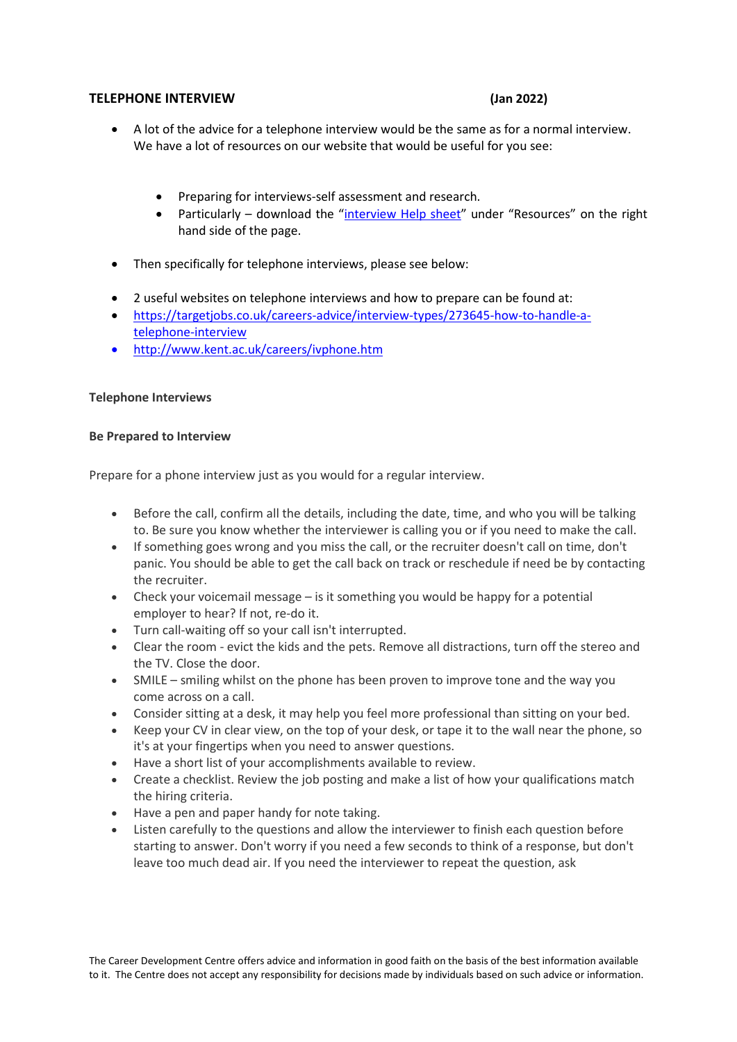## **TELEPHONE INTERVIEW (Jan 2022)**

- A lot of the advice for a telephone interview would be the same as for a normal interview. We have a lot of resources on our website that would be useful for you see:
	- Preparing for interviews-self assessment and research.
	- Particularly download the ["interview Help sheet"](https://www.tudublin.ie/media/website/for-students/careers/docs/Interview-help-sheet.pdf) under "Resources" on the right hand side of the page.
- Then specifically for telephone interviews, please see below:
- 2 useful websites on telephone interviews and how to prepare can be found at:
- [https://targetjobs.co.uk/careers-advice/interview-types/273645-how-to-handle-a](https://targetjobs.co.uk/careers-advice/interview-types/273645-how-to-handle-a-telephone-interview)[telephone-interview](https://targetjobs.co.uk/careers-advice/interview-types/273645-how-to-handle-a-telephone-interview)
- [http://www.kent.ac.uk/careers/ivphone.htm](https://www.kent.ac.uk/ces/student/interviews.html?tab=telephone-interviews)

## **Telephone Interviews**

#### **Be Prepared to Interview**

Prepare for a phone interview just as you would for a regular interview.

- Before the call, confirm all the details, including the date, time, and who you will be talking to. Be sure you know whether the interviewer is calling you or if you need to make the call.
- If something goes wrong and you miss the call, or the recruiter doesn't call on time, don't panic. You should be able to get the call back on track or reschedule if need be by contacting the recruiter.
- Check your voicemail message is it something you would be happy for a potential employer to hear? If not, re-do it.
- Turn call-waiting off so your call isn't interrupted.
- Clear the room evict the kids and the pets. Remove all distractions, turn off the stereo and the TV. Close the door.
- SMILE smiling whilst on the phone has been proven to improve tone and the way you come across on a call.
- Consider sitting at a desk, it may help you feel more professional than sitting on your bed.
- Keep your CV in clear view, on the top of your desk, or tape it to the wall near the phone, so it's at your fingertips when you need to answer questions.
- Have a short list of your accomplishments available to review.
- Create a checklist. Review the job posting and make a list of how your qualifications match the hiring criteria.
- Have a pen and paper handy for note taking.
- Listen carefully to the questions and allow the interviewer to finish each question before starting to answer. Don't worry if you need a few seconds to think of a response, but don't leave too much dead air. If you need the interviewer to repeat the question, ask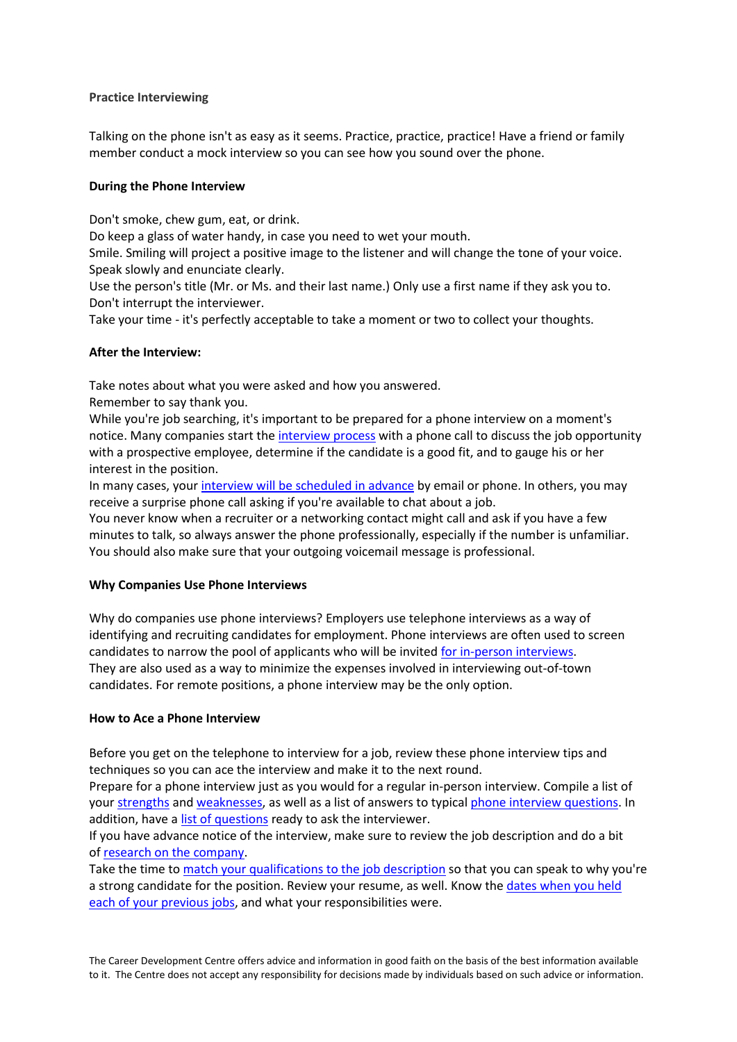## **Practice Interviewing**

Talking on the phone isn't as easy as it seems. Practice, practice, practice! Have a friend or family member conduct a mock interview so you can see how you sound over the phone.

# **During the Phone Interview**

Don't smoke, chew gum, eat, or drink.

Do keep a glass of water handy, in case you need to wet your mouth.

Smile. Smiling will project a positive image to the listener and will change the tone of your voice. Speak slowly and enunciate clearly.

Use the person's title (Mr. or Ms. and their last name.) Only use a first name if they ask you to. Don't interrupt the interviewer.

Take your time - it's perfectly acceptable to take a moment or two to collect your thoughts.

# **After the Interview:**

Take notes about what you were asked and how you answered.

Remember to say thank you.

While you're job searching, it's important to be prepared for a phone interview on a moment's notice. Many companies start the [interview process](https://www.thebalancecareers.com/steps-in-the-job-interview-process-2061363) with a phone call to discuss the job opportunity with a prospective employee, determine if the candidate is a good fit, and to gauge his or her interest in the position.

In many cases, your [interview will be scheduled in advance](https://www.thebalancecareers.com/how-employers-notify-applicants-about-interviews-2061126) by email or phone. In others, you may receive a surprise phone call asking if you're available to chat about a job.

You never know when a recruiter or a networking contact might call and ask if you have a few minutes to talk, so always answer the phone professionally, especially if the number is unfamiliar. You should also make sure that your outgoing voicemail message is professional.

## **Why Companies Use Phone Interviews**

Why do companies use phone interviews? Employers use telephone interviews as a way of identifying and recruiting candidates for employment. Phone interviews are often used to screen candidates to narrow the pool of applicants who will be invited [for in-person interviews.](https://www.thebalancecareers.com/types-of-job-and-employment-related-interviews-2061343) They are also used as a way to minimize the expenses involved in interviewing out-of-town candidates. For remote positions, a phone interview may be the only option.

## **How to Ace a Phone Interview**

Before you get on the telephone to interview for a job, review these phone interview tips and techniques so you can ace the interview and make it to the next round.

Prepare for a phone interview just as you would for a regular in-person interview. Compile a list of your [strengths](https://www.thebalancecareers.com/resume-strengths-list-2063804) and [weaknesses,](https://www.thebalancecareers.com/list-of-weaknesses-2063805) as well as a list of answers to typical [phone interview questions.](https://www.thebalancecareers.com/phone-interview-questions-and-answers-2061217) In addition, have a [list of questions](https://www.thebalancecareers.com/phone-interview-questions-to-ask-the-interviewer-2062791) ready to ask the interviewer.

If you have advance notice of the interview, make sure to review the job description and do a bit of [research on the company.](https://www.thebalancecareers.com/how-to-research-a-company-2058508)

Take the time to [match your qualifications to the job description](https://www.thebalancecareers.com/how-to-match-your-qualifications-to-a-job-2060941) so that you can speak to why you're a strong candidate for the position. Review your resume, as well. Know the [dates when you held](https://www.thebalancecareers.com/work-history-definition-with-examples-2060468)  [each of your previous jobs,](https://www.thebalancecareers.com/work-history-definition-with-examples-2060468) and what your responsibilities were.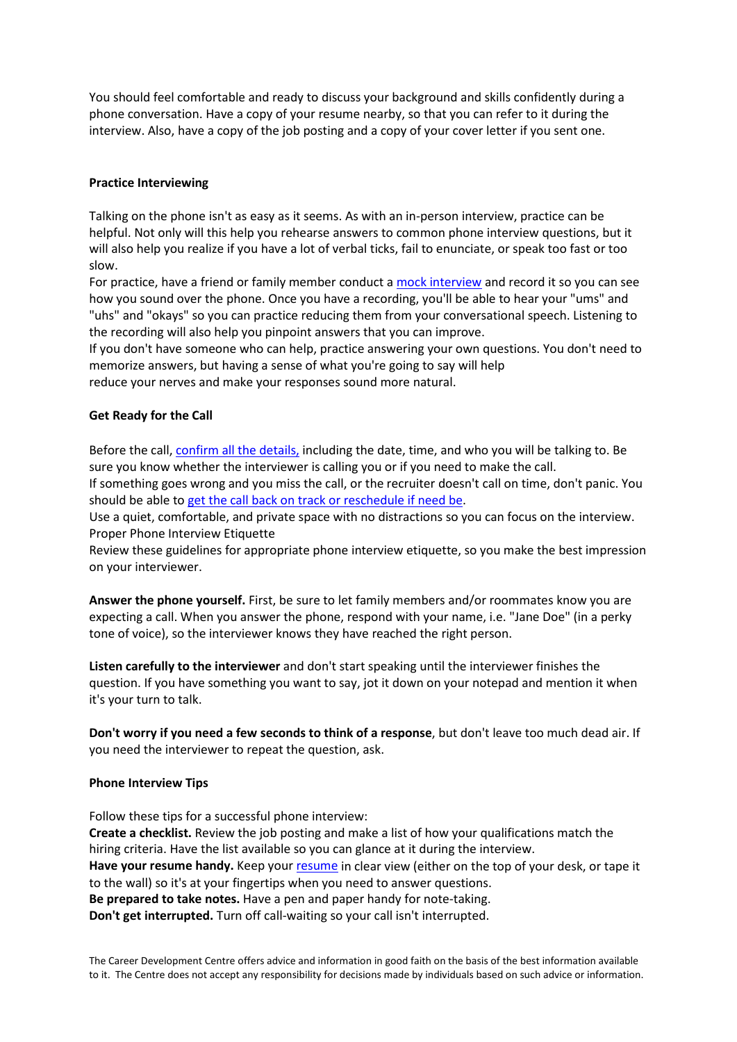You should feel comfortable and ready to discuss your background and skills confidently during a phone conversation. Have a copy of your resume nearby, so that you can refer to it during the interview. Also, have a copy of the job posting and a copy of your cover letter if you sent one.

# **Practice Interviewing**

Talking on the phone isn't as easy as it seems. As with an in-person interview, practice can be helpful. Not only will this help you rehearse answers to common phone interview questions, but it will also help you realize if you have a lot of verbal ticks, fail to enunciate, or speak too fast or too slow.

For practice, have a friend or family member conduct a [mock interview](https://www.thebalancecareers.com/how-to-use-mock-interviews-to-practice-interviewing-2061626) and record it so you can see how you sound over the phone. Once you have a recording, you'll be able to hear your "ums" and "uhs" and "okays" so you can practice reducing them from your conversational speech. Listening to the recording will also help you pinpoint answers that you can improve.

If you don't have someone who can help, practice answering your own questions. You don't need to memorize answers, but having a sense of what you're going to say will help

reduce your nerves and make your responses sound more natural.

# **Get Ready for the Call**

Before the call, [confirm all the details,](https://www.thebalancecareers.com/how-to-confirm-a-job-interview-2061317) including the date, time, and who you will be talking to. Be sure you know whether the interviewer is calling you or if you need to make the call.

If something goes wrong and you miss the call, or the recruiter doesn't call on time, don't panic. You should be able to [get the call back on track or reschedule if need be.](https://www.thebalancecareers.com/what-to-do-if-your-phone-interviewer-doesn-t-call-2062794)

Use a quiet, comfortable, and private space with no distractions so you can focus on the interview. Proper Phone Interview Etiquette

Review these guidelines for appropriate phone interview etiquette, so you make the best impression on your interviewer.

**Answer the phone yourself.** First, be sure to let family members and/or roommates know you are expecting a call. When you answer the phone, respond with your name, i.e. "Jane Doe" (in a perky tone of voice), so the interviewer knows they have reached the right person.

**Listen carefully to the interviewer** and don't start speaking until the interviewer finishes the question. If you have something you want to say, jot it down on your notepad and mention it when it's your turn to talk.

**Don't worry if you need a few seconds to think of a response**, but don't leave too much dead air. If you need the interviewer to repeat the question, ask.

## **Phone Interview Tips**

Follow these tips for a successful phone interview: **Create a checklist.** Review the job posting and make a list of how your qualifications match the hiring criteria. Have the list available so you can glance at it during the interview. **Have your resume handy.** Keep your [resume](https://www.thebalancecareers.com/job-resumes-4161923) in clear view (either on the top of your desk, or tape it to the wall) so it's at your fingertips when you need to answer questions. **Be prepared to take notes.** Have a pen and paper handy for note-taking. **Don't get interrupted.** Turn off call-waiting so your call isn't interrupted.